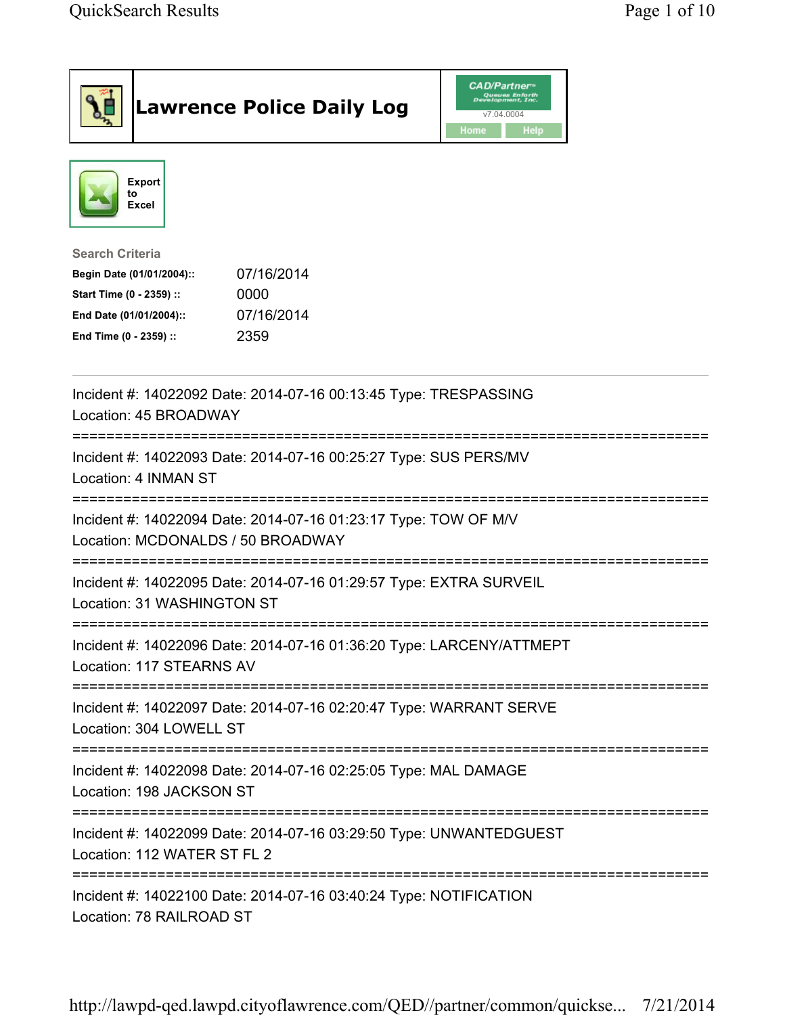| <b>Lawrence Police Daily Log</b>                                                                                                                                                 | <b>CAD/Partner</b> "<br>Queues Enforth<br>Development, Inc.<br>v7.04.0004<br>Home<br>Help |
|----------------------------------------------------------------------------------------------------------------------------------------------------------------------------------|-------------------------------------------------------------------------------------------|
| Export<br>to<br>Excel                                                                                                                                                            |                                                                                           |
| <b>Search Criteria</b><br>07/16/2014<br>Begin Date (01/01/2004)::<br>Start Time (0 - 2359) ::<br>0000<br>07/16/2014<br>End Date (01/01/2004)::<br>End Time (0 - 2359) ::<br>2359 |                                                                                           |
| Incident #: 14022092 Date: 2014-07-16 00:13:45 Type: TRESPASSING<br>Location: 45 BROADWAY                                                                                        |                                                                                           |
| Incident #: 14022093 Date: 2014-07-16 00:25:27 Type: SUS PERS/MV<br>Location: 4 INMAN ST                                                                                         |                                                                                           |
| Incident #: 14022094 Date: 2014-07-16 01:23:17 Type: TOW OF M/V<br>Location: MCDONALDS / 50 BROADWAY                                                                             |                                                                                           |
| Incident #: 14022095 Date: 2014-07-16 01:29:57 Type: EXTRA SURVEIL<br>Location: 31 WASHINGTON ST                                                                                 |                                                                                           |
| Incident #: 14022096 Date: 2014-07-16 01:36:20 Type: LARCENY/ATTMEPT<br>Location: 117 STEARNS AV                                                                                 |                                                                                           |
| Incident #: 14022097 Date: 2014-07-16 02:20:47 Type: WARRANT SERVE<br>Location: 304 LOWELL ST                                                                                    |                                                                                           |
| Incident #: 14022098 Date: 2014-07-16 02:25:05 Type: MAL DAMAGE<br>Location: 198 JACKSON ST                                                                                      |                                                                                           |
| Incident #: 14022099 Date: 2014-07-16 03:29:50 Type: UNWANTEDGUEST<br>Location: 112 WATER ST FL 2                                                                                |                                                                                           |
| Incident #: 14022100 Date: 2014-07-16 03:40:24 Type: NOTIFICATION<br>Location: 78 RAILROAD ST                                                                                    |                                                                                           |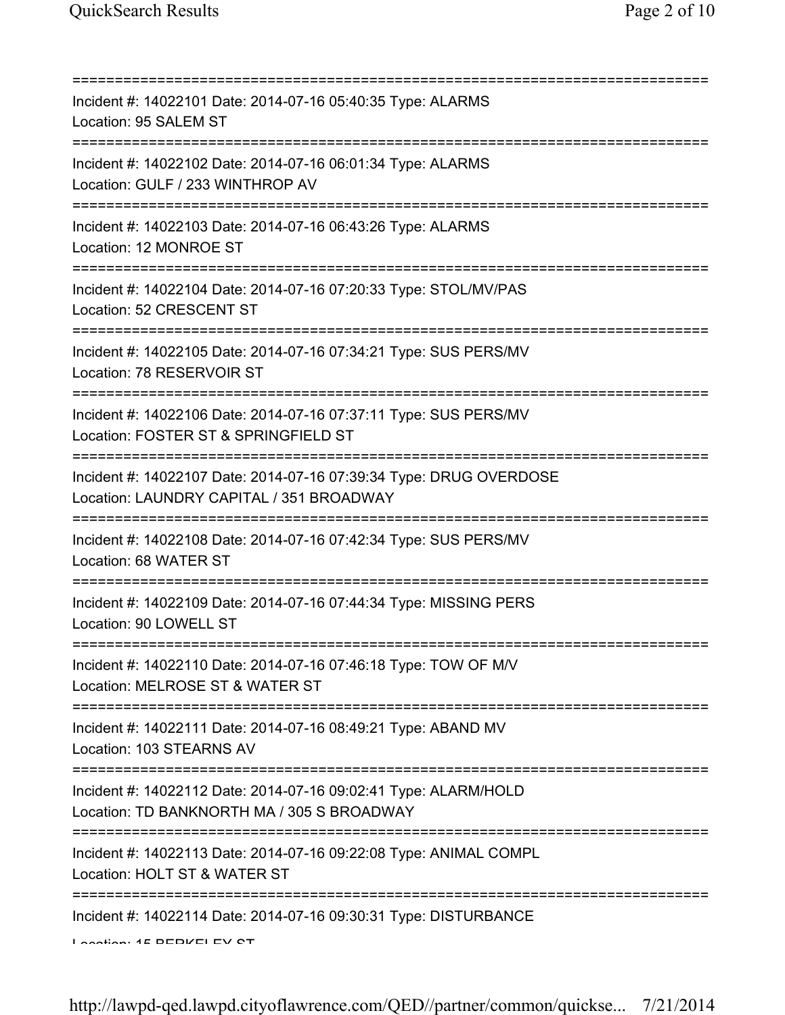| Incident #: 14022101 Date: 2014-07-16 05:40:35 Type: ALARMS<br>Location: 95 SALEM ST                                                                  |
|-------------------------------------------------------------------------------------------------------------------------------------------------------|
| Incident #: 14022102 Date: 2014-07-16 06:01:34 Type: ALARMS<br>Location: GULF / 233 WINTHROP AV                                                       |
| Incident #: 14022103 Date: 2014-07-16 06:43:26 Type: ALARMS<br>Location: 12 MONROE ST                                                                 |
| ;===============================<br>Incident #: 14022104 Date: 2014-07-16 07:20:33 Type: STOL/MV/PAS<br>Location: 52 CRESCENT ST                      |
| Incident #: 14022105 Date: 2014-07-16 07:34:21 Type: SUS PERS/MV<br>Location: 78 RESERVOIR ST                                                         |
| Incident #: 14022106 Date: 2014-07-16 07:37:11 Type: SUS PERS/MV<br>Location: FOSTER ST & SPRINGFIELD ST                                              |
| Incident #: 14022107 Date: 2014-07-16 07:39:34 Type: DRUG OVERDOSE<br>Location: LAUNDRY CAPITAL / 351 BROADWAY                                        |
| Incident #: 14022108 Date: 2014-07-16 07:42:34 Type: SUS PERS/MV<br>Location: 68 WATER ST                                                             |
| Incident #: 14022109 Date: 2014-07-16 07:44:34 Type: MISSING PERS<br>Location: 90 LOWELL ST                                                           |
| Incident #: 14022110 Date: 2014-07-16 07:46:18 Type: TOW OF M/V<br>Location: MELROSE ST & WATER ST                                                    |
| ==========================<br>Incident #: 14022111 Date: 2014-07-16 08:49:21 Type: ABAND MV<br>Location: 103 STEARNS AV                               |
| ;===================================<br>Incident #: 14022112 Date: 2014-07-16 09:02:41 Type: ALARM/HOLD<br>Location: TD BANKNORTH MA / 305 S BROADWAY |
| Incident #: 14022113 Date: 2014-07-16 09:22:08 Type: ANIMAL COMPL<br>Location: HOLT ST & WATER ST                                                     |
| Incident #: 14022114 Date: 2014-07-16 09:30:31 Type: DISTURBANCE<br>Lootion: 4E DEDIZELEV Q'                                                          |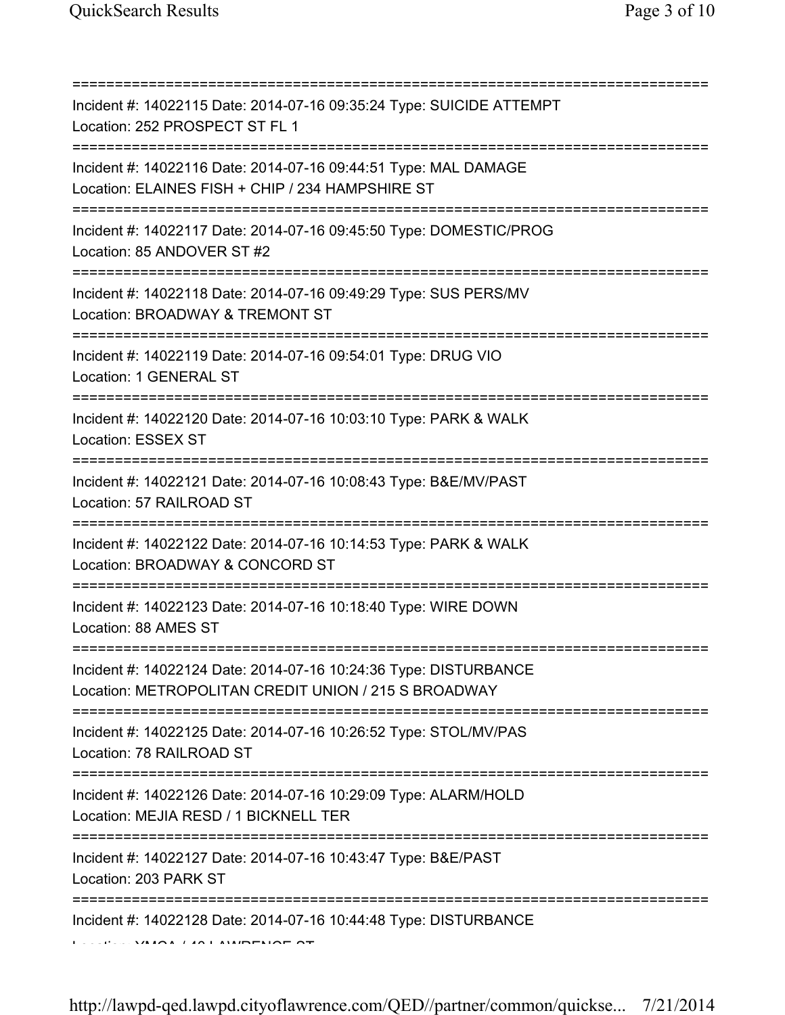| Incident #: 14022115 Date: 2014-07-16 09:35:24 Type: SUICIDE ATTEMPT<br>Location: 252 PROSPECT ST FL 1<br>=====================================            |
|------------------------------------------------------------------------------------------------------------------------------------------------------------|
| Incident #: 14022116 Date: 2014-07-16 09:44:51 Type: MAL DAMAGE<br>Location: ELAINES FISH + CHIP / 234 HAMPSHIRE ST<br>=================================== |
| Incident #: 14022117 Date: 2014-07-16 09:45:50 Type: DOMESTIC/PROG<br>Location: 85 ANDOVER ST #2                                                           |
| Incident #: 14022118 Date: 2014-07-16 09:49:29 Type: SUS PERS/MV<br>Location: BROADWAY & TREMONT ST                                                        |
| Incident #: 14022119 Date: 2014-07-16 09:54:01 Type: DRUG VIO<br>Location: 1 GENERAL ST                                                                    |
| Incident #: 14022120 Date: 2014-07-16 10:03:10 Type: PARK & WALK<br>Location: ESSEX ST                                                                     |
| Incident #: 14022121 Date: 2014-07-16 10:08:43 Type: B&E/MV/PAST<br>Location: 57 RAILROAD ST                                                               |
| Incident #: 14022122 Date: 2014-07-16 10:14:53 Type: PARK & WALK<br>Location: BROADWAY & CONCORD ST<br>:=========================                          |
| Incident #: 14022123 Date: 2014-07-16 10:18:40 Type: WIRE DOWN<br>Location: 88 AMES ST                                                                     |
| Incident #: 14022124 Date: 2014-07-16 10:24:36 Type: DISTURBANCE<br>Location: METROPOLITAN CREDIT UNION / 215 S BROADWAY                                   |
| Incident #: 14022125 Date: 2014-07-16 10:26:52 Type: STOL/MV/PAS<br>Location: 78 RAILROAD ST                                                               |
| =============<br>Incident #: 14022126 Date: 2014-07-16 10:29:09 Type: ALARM/HOLD<br>Location: MEJIA RESD / 1 BICKNELL TER                                  |
| Incident #: 14022127 Date: 2014-07-16 10:43:47 Type: B&E/PAST<br>Location: 203 PARK ST                                                                     |
| Incident #: 14022128 Date: 2014-07-16 10:44:48 Type: DISTURBANCE                                                                                           |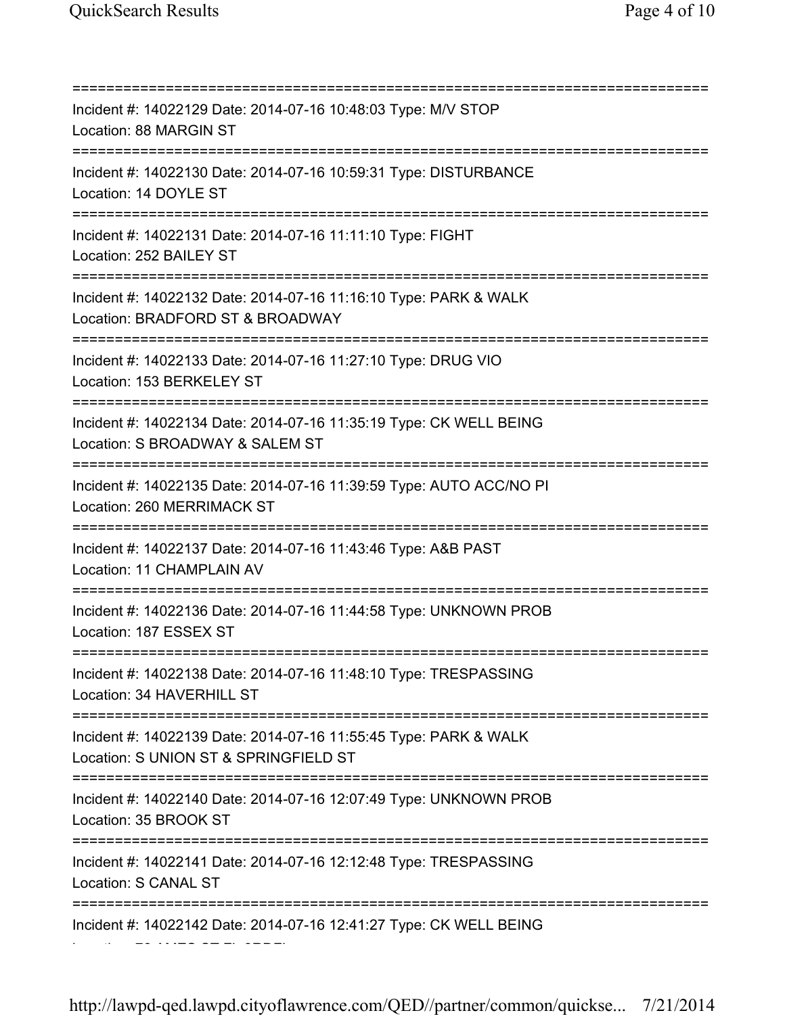=========================================================================== Incident #: 14022129 Date: 2014-07-16 10:48:03 Type: M/V STOP Location: 88 MARGIN ST =========================================================================== Incident #: 14022130 Date: 2014-07-16 10:59:31 Type: DISTURBANCE Location: 14 DOYLE ST =========================================================================== Incident #: 14022131 Date: 2014-07-16 11:11:10 Type: FIGHT Location: 252 BAILEY ST =========================================================================== Incident #: 14022132 Date: 2014-07-16 11:16:10 Type: PARK & WALK Location: BRADFORD ST & BROADWAY =========================================================================== Incident #: 14022133 Date: 2014-07-16 11:27:10 Type: DRUG VIO Location: 153 BERKELEY ST =========================================================================== Incident #: 14022134 Date: 2014-07-16 11:35:19 Type: CK WELL BEING Location: S BROADWAY & SALEM ST =========================================================================== Incident #: 14022135 Date: 2014-07-16 11:39:59 Type: AUTO ACC/NO PI Location: 260 MERRIMACK ST =========================================================================== Incident #: 14022137 Date: 2014-07-16 11:43:46 Type: A&B PAST Location: 11 CHAMPLAIN AV =========================================================================== Incident #: 14022136 Date: 2014-07-16 11:44:58 Type: UNKNOWN PROB Location: 187 ESSEX ST =========================================================================== Incident #: 14022138 Date: 2014-07-16 11:48:10 Type: TRESPASSING Location: 34 HAVERHILL ST =========================================================================== Incident #: 14022139 Date: 2014-07-16 11:55:45 Type: PARK & WALK Location: S UNION ST & SPRINGFIELD ST =========================================================================== Incident #: 14022140 Date: 2014-07-16 12:07:49 Type: UNKNOWN PROB Location: 35 BROOK ST =========================================================================== Incident #: 14022141 Date: 2014-07-16 12:12:48 Type: TRESPASSING Location: S CANAL ST =========================================================================== Incident #: 14022142 Date: 2014-07-16 12:41:27 Type: CK WELL BEING

Location: 76 AMES ST FL 3RDFL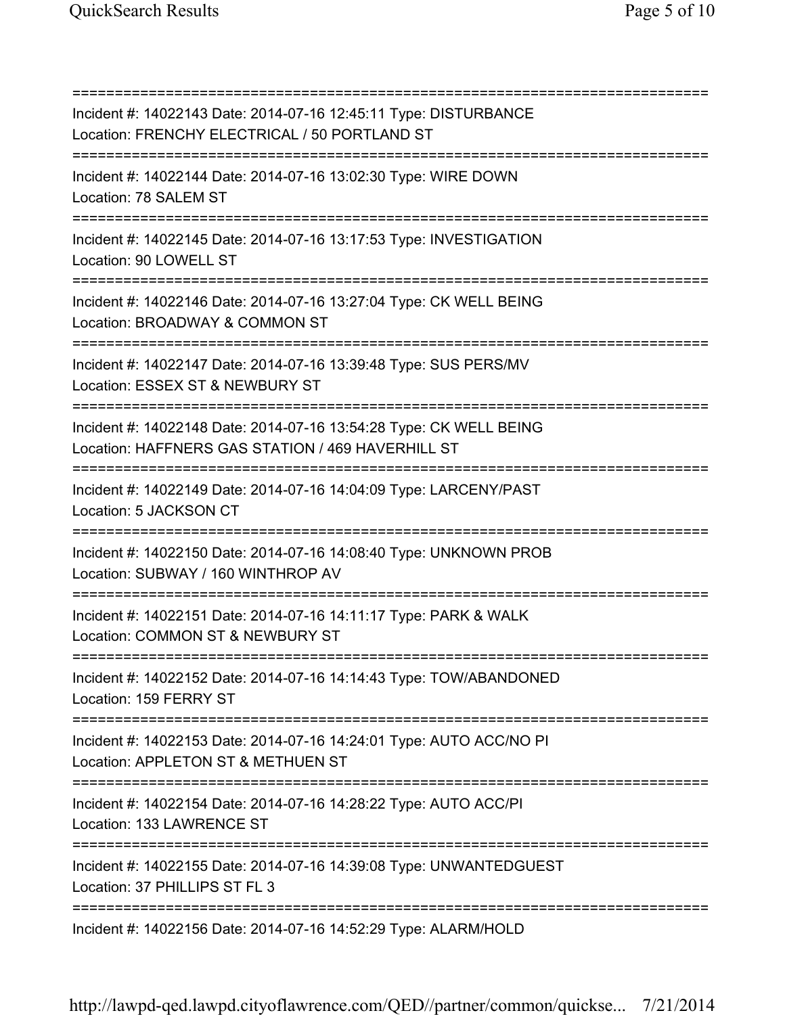=========================================================================== Incident #: 14022143 Date: 2014-07-16 12:45:11 Type: DISTURBANCE Location: FRENCHY ELECTRICAL / 50 PORTLAND ST =========================================================================== Incident #: 14022144 Date: 2014-07-16 13:02:30 Type: WIRE DOWN Location: 78 SALEM ST =========================================================================== Incident #: 14022145 Date: 2014-07-16 13:17:53 Type: INVESTIGATION Location: 90 LOWELL ST =========================================================================== Incident #: 14022146 Date: 2014-07-16 13:27:04 Type: CK WELL BEING Location: BROADWAY & COMMON ST =========================================================================== Incident #: 14022147 Date: 2014-07-16 13:39:48 Type: SUS PERS/MV Location: ESSEX ST & NEWBURY ST =========================================================================== Incident #: 14022148 Date: 2014-07-16 13:54:28 Type: CK WELL BEING Location: HAFFNERS GAS STATION / 469 HAVERHILL ST =========================================================================== Incident #: 14022149 Date: 2014-07-16 14:04:09 Type: LARCENY/PAST Location: 5 JACKSON CT =========================================================================== Incident #: 14022150 Date: 2014-07-16 14:08:40 Type: UNKNOWN PROB Location: SUBWAY / 160 WINTHROP AV =========================================================================== Incident #: 14022151 Date: 2014-07-16 14:11:17 Type: PARK & WALK Location: COMMON ST & NEWBURY ST =========================================================================== Incident #: 14022152 Date: 2014-07-16 14:14:43 Type: TOW/ABANDONED Location: 159 FERRY ST =========================================================================== Incident #: 14022153 Date: 2014-07-16 14:24:01 Type: AUTO ACC/NO PI Location: APPLETON ST & METHUEN ST =========================================================================== Incident #: 14022154 Date: 2014-07-16 14:28:22 Type: AUTO ACC/PI Location: 133 LAWRENCE ST =========================================================================== Incident #: 14022155 Date: 2014-07-16 14:39:08 Type: UNWANTEDGUEST Location: 37 PHILLIPS ST FL 3 =========================================================================== Incident #: 14022156 Date: 2014-07-16 14:52:29 Type: ALARM/HOLD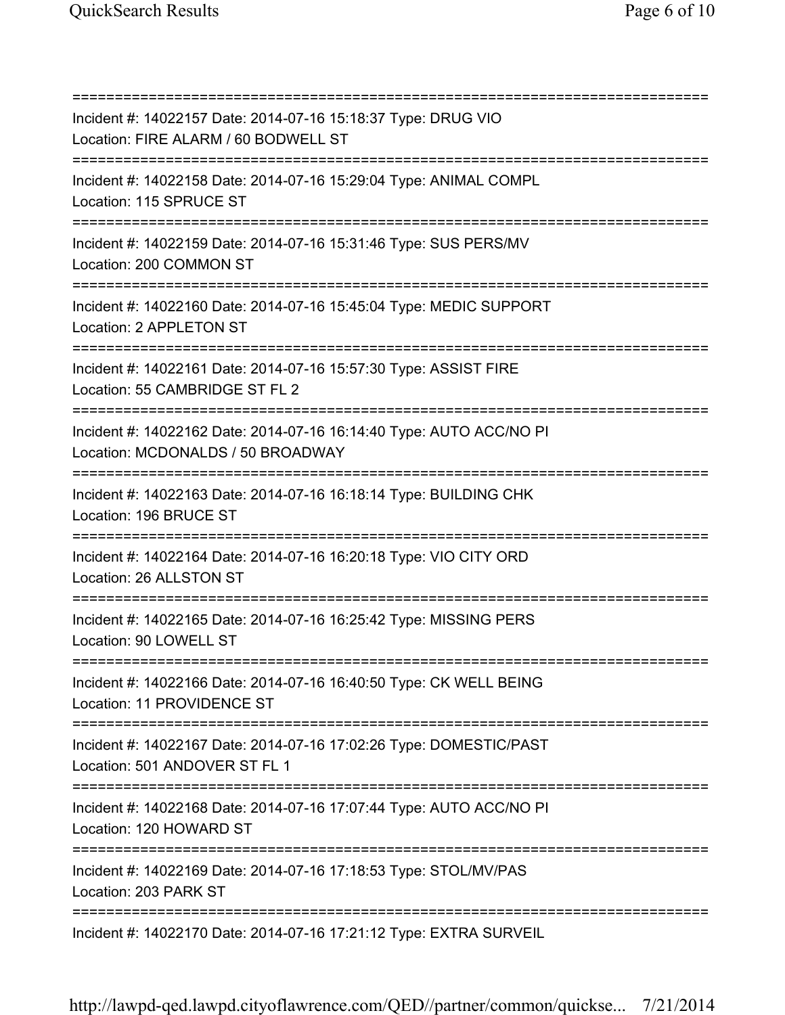=========================================================================== Incident #: 14022157 Date: 2014-07-16 15:18:37 Type: DRUG VIO Location: FIRE ALARM / 60 BODWELL ST =========================================================================== Incident #: 14022158 Date: 2014-07-16 15:29:04 Type: ANIMAL COMPL Location: 115 SPRUCE ST =========================================================================== Incident #: 14022159 Date: 2014-07-16 15:31:46 Type: SUS PERS/MV Location: 200 COMMON ST =========================================================================== Incident #: 14022160 Date: 2014-07-16 15:45:04 Type: MEDIC SUPPORT Location: 2 APPLETON ST =========================================================================== Incident #: 14022161 Date: 2014-07-16 15:57:30 Type: ASSIST FIRE Location: 55 CAMBRIDGE ST FL 2 =========================================================================== Incident #: 14022162 Date: 2014-07-16 16:14:40 Type: AUTO ACC/NO PI Location: MCDONALDS / 50 BROADWAY =========================================================================== Incident #: 14022163 Date: 2014-07-16 16:18:14 Type: BUILDING CHK Location: 196 BRUCE ST =========================================================================== Incident #: 14022164 Date: 2014-07-16 16:20:18 Type: VIO CITY ORD Location: 26 ALLSTON ST =========================================================================== Incident #: 14022165 Date: 2014-07-16 16:25:42 Type: MISSING PERS Location: 90 LOWELL ST =========================================================================== Incident #: 14022166 Date: 2014-07-16 16:40:50 Type: CK WELL BEING Location: 11 PROVIDENCE ST =========================================================================== Incident #: 14022167 Date: 2014-07-16 17:02:26 Type: DOMESTIC/PAST Location: 501 ANDOVER ST FL 1 =========================================================================== Incident #: 14022168 Date: 2014-07-16 17:07:44 Type: AUTO ACC/NO PI Location: 120 HOWARD ST =========================================================================== Incident #: 14022169 Date: 2014-07-16 17:18:53 Type: STOL/MV/PAS Location: 203 PARK ST =========================================================================== Incident #: 14022170 Date: 2014-07-16 17:21:12 Type: EXTRA SURVEIL

http://lawpd-qed.lawpd.cityoflawrence.com/QED//partner/common/quickse... 7/21/2014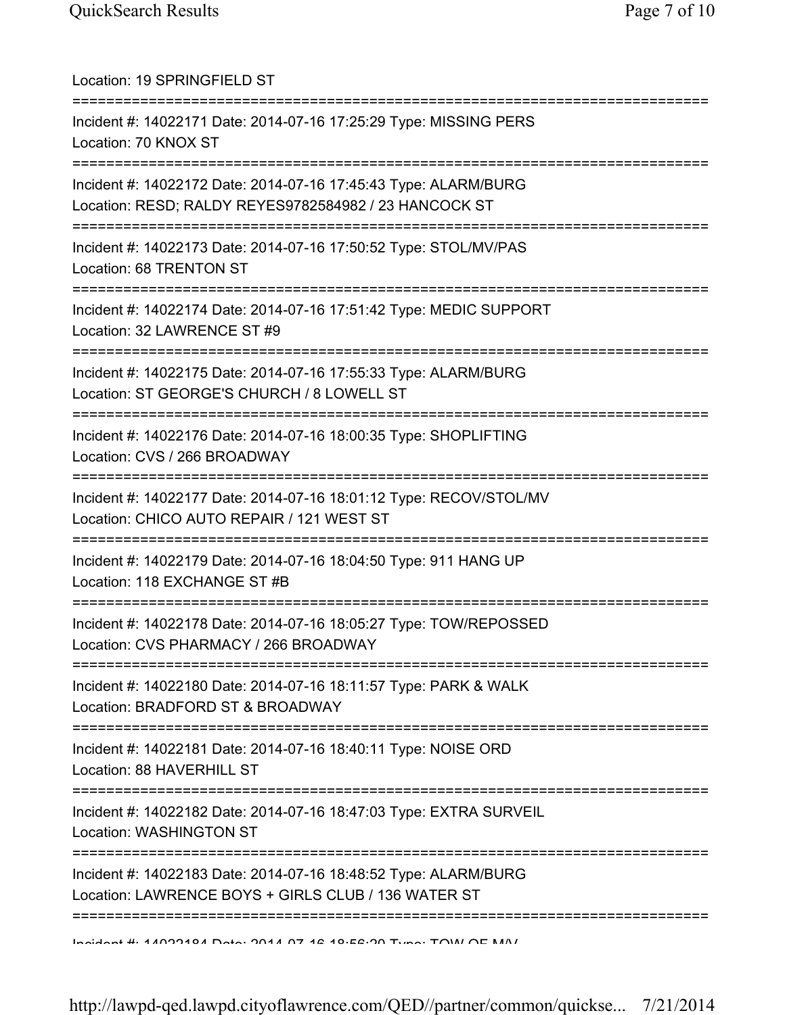| Location: 19 SPRINGFIELD ST                                                                                                            |
|----------------------------------------------------------------------------------------------------------------------------------------|
| Incident #: 14022171 Date: 2014-07-16 17:25:29 Type: MISSING PERS<br>Location: 70 KNOX ST                                              |
| Incident #: 14022172 Date: 2014-07-16 17:45:43 Type: ALARM/BURG<br>Location: RESD; RALDY REYES9782584982 / 23 HANCOCK ST               |
| Incident #: 14022173 Date: 2014-07-16 17:50:52 Type: STOL/MV/PAS<br>Location: 68 TRENTON ST                                            |
| Incident #: 14022174 Date: 2014-07-16 17:51:42 Type: MEDIC SUPPORT<br>Location: 32 LAWRENCE ST #9<br>--------------------------------- |
| Incident #: 14022175 Date: 2014-07-16 17:55:33 Type: ALARM/BURG<br>Location: ST GEORGE'S CHURCH / 8 LOWELL ST                          |
| Incident #: 14022176 Date: 2014-07-16 18:00:35 Type: SHOPLIFTING<br>Location: CVS / 266 BROADWAY                                       |
| Incident #: 14022177 Date: 2014-07-16 18:01:12 Type: RECOV/STOL/MV<br>Location: CHICO AUTO REPAIR / 121 WEST ST                        |
| Incident #: 14022179 Date: 2014-07-16 18:04:50 Type: 911 HANG UP<br>Location: 118 EXCHANGE ST #B                                       |
| Incident #: 14022178 Date: 2014-07-16 18:05:27 Type: TOW/REPOSSED<br>Location: CVS PHARMACY / 266 BROADWAY                             |
| Incident #: 14022180 Date: 2014-07-16 18:11:57 Type: PARK & WALK<br>Location: BRADFORD ST & BROADWAY                                   |
| Incident #: 14022181 Date: 2014-07-16 18:40:11 Type: NOISE ORD<br>Location: 88 HAVERHILL ST                                            |
| Incident #: 14022182 Date: 2014-07-16 18:47:03 Type: EXTRA SURVEIL<br><b>Location: WASHINGTON ST</b>                                   |
| Incident #: 14022183 Date: 2014-07-16 18:48:52 Type: ALARM/BURG<br>Location: LAWRENCE BOYS + GIRLS CLUB / 136 WATER ST                 |
| Incident # 44000404 Data: 0044 07 42 40.52.00 Tune: TOIAI OF MAI                                                                       |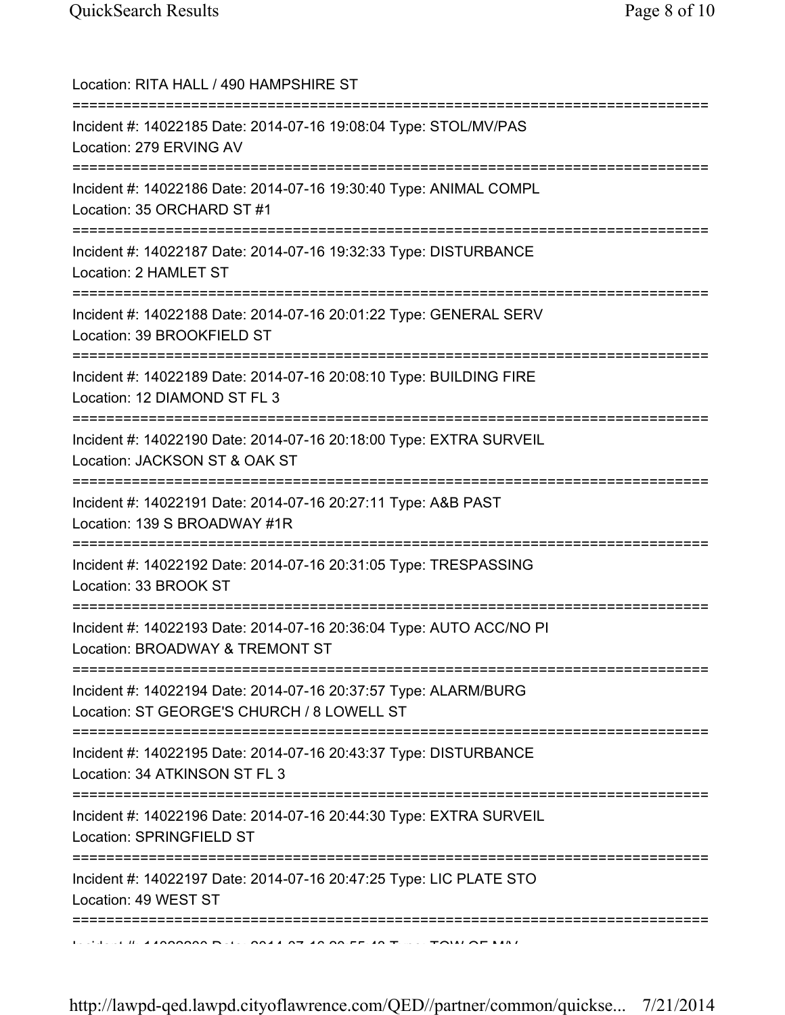| Location: RITA HALL / 490 HAMPSHIRE ST                                                                                                    |
|-------------------------------------------------------------------------------------------------------------------------------------------|
| Incident #: 14022185 Date: 2014-07-16 19:08:04 Type: STOL/MV/PAS<br>Location: 279 ERVING AV<br>----------------------------------         |
| Incident #: 14022186 Date: 2014-07-16 19:30:40 Type: ANIMAL COMPL<br>Location: 35 ORCHARD ST #1                                           |
| Incident #: 14022187 Date: 2014-07-16 19:32:33 Type: DISTURBANCE<br>Location: 2 HAMLET ST                                                 |
| Incident #: 14022188 Date: 2014-07-16 20:01:22 Type: GENERAL SERV<br>Location: 39 BROOKFIELD ST                                           |
| ===================================<br>Incident #: 14022189 Date: 2014-07-16 20:08:10 Type: BUILDING FIRE<br>Location: 12 DIAMOND ST FL 3 |
| Incident #: 14022190 Date: 2014-07-16 20:18:00 Type: EXTRA SURVEIL<br>Location: JACKSON ST & OAK ST                                       |
| ;=========================<br>Incident #: 14022191 Date: 2014-07-16 20:27:11 Type: A&B PAST<br>Location: 139 S BROADWAY #1R               |
| Incident #: 14022192 Date: 2014-07-16 20:31:05 Type: TRESPASSING<br>Location: 33 BROOK ST                                                 |
| Incident #: 14022193 Date: 2014-07-16 20:36:04 Type: AUTO ACC/NO PI<br>Location: BROADWAY & TREMONT ST                                    |
| Incident #: 14022194 Date: 2014-07-16 20:37:57 Type: ALARM/BURG<br>Location: ST GEORGE'S CHURCH / 8 LOWELL ST                             |
| Incident #: 14022195 Date: 2014-07-16 20:43:37 Type: DISTURBANCE<br>Location: 34 ATKINSON ST FL 3                                         |
| :========<br>Incident #: 14022196 Date: 2014-07-16 20:44:30 Type: EXTRA SURVEIL<br>Location: SPRINGFIELD ST                               |
| Incident #: 14022197 Date: 2014-07-16 20:47:25 Type: LIC PLATE STO<br>Location: 49 WEST ST                                                |
|                                                                                                                                           |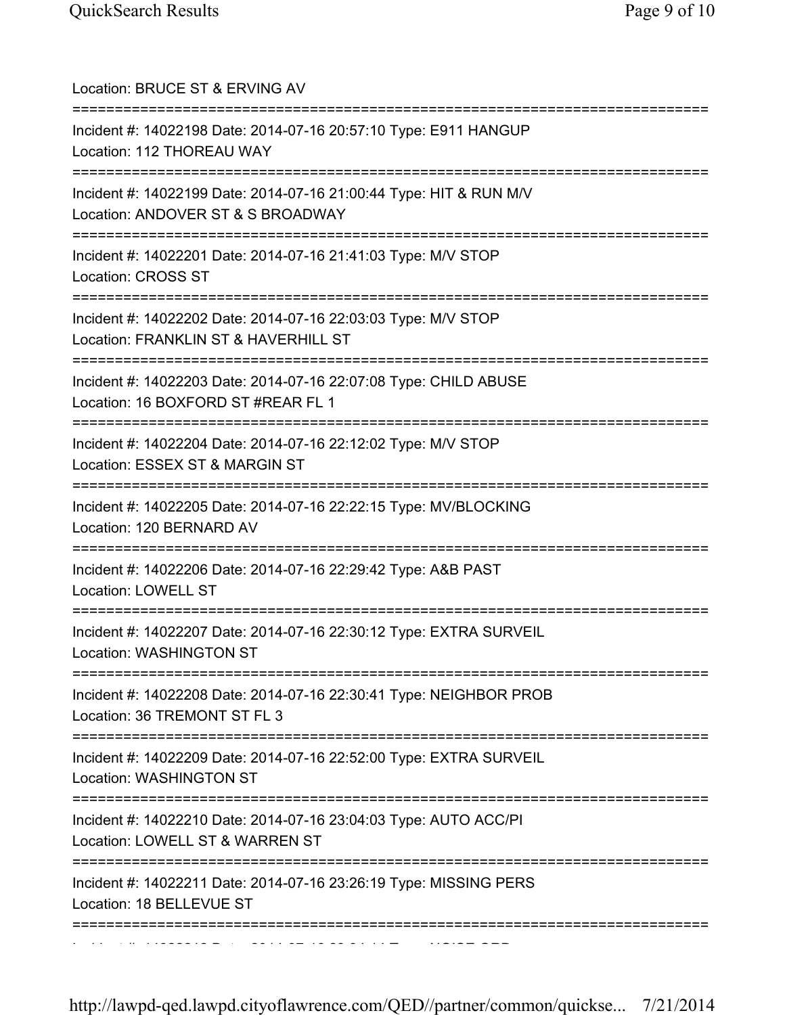| Location: BRUCE ST & ERVING AV                                                                                                             |
|--------------------------------------------------------------------------------------------------------------------------------------------|
| Incident #: 14022198 Date: 2014-07-16 20:57:10 Type: E911 HANGUP<br>Location: 112 THOREAU WAY<br>================================          |
| Incident #: 14022199 Date: 2014-07-16 21:00:44 Type: HIT & RUN M/V<br>Location: ANDOVER ST & S BROADWAY                                    |
| Incident #: 14022201 Date: 2014-07-16 21:41:03 Type: M/V STOP<br><b>Location: CROSS ST</b>                                                 |
| Incident #: 14022202 Date: 2014-07-16 22:03:03 Type: M/V STOP<br>Location: FRANKLIN ST & HAVERHILL ST                                      |
| Incident #: 14022203 Date: 2014-07-16 22:07:08 Type: CHILD ABUSE<br>Location: 16 BOXFORD ST #REAR FL 1                                     |
| Incident #: 14022204 Date: 2014-07-16 22:12:02 Type: M/V STOP<br>Location: ESSEX ST & MARGIN ST<br>--------------------                    |
| Incident #: 14022205 Date: 2014-07-16 22:22:15 Type: MV/BLOCKING<br>Location: 120 BERNARD AV                                               |
| Incident #: 14022206 Date: 2014-07-16 22:29:42 Type: A&B PAST<br><b>Location: LOWELL ST</b>                                                |
| Incident #: 14022207 Date: 2014-07-16 22:30:12 Type: EXTRA SURVEIL<br>Location: WASHINGTON ST                                              |
| Incident #: 14022208 Date: 2014-07-16 22:30:41 Type: NEIGHBOR PROB<br>Location: 36 TREMONT ST FL 3                                         |
| Incident #: 14022209 Date: 2014-07-16 22:52:00 Type: EXTRA SURVEIL<br>Location: WASHINGTON ST                                              |
| ===================================<br>Incident #: 14022210 Date: 2014-07-16 23:04:03 Type: AUTO ACC/PI<br>Location: LOWELL ST & WARREN ST |
| Incident #: 14022211 Date: 2014-07-16 23:26:19 Type: MISSING PERS<br>Location: 18 BELLEVUE ST                                              |
|                                                                                                                                            |